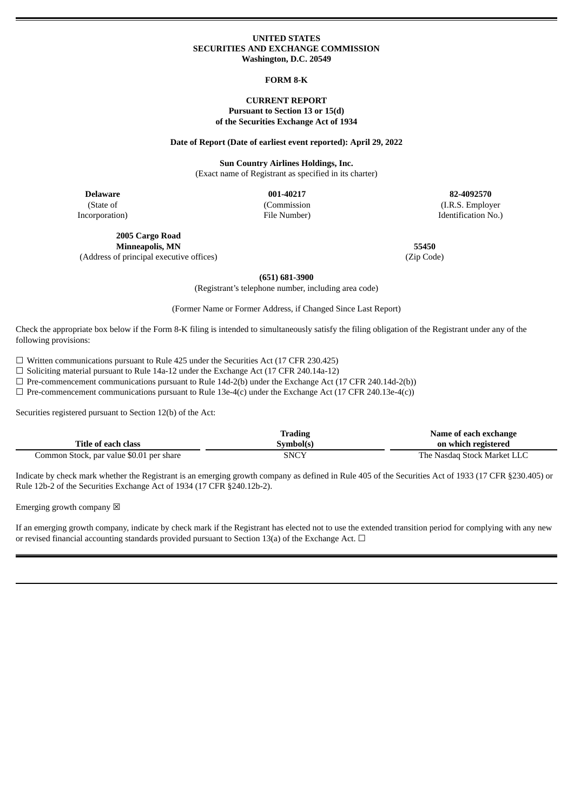#### **UNITED STATES SECURITIES AND EXCHANGE COMMISSION Washington, D.C. 20549**

#### **FORM 8-K**

### **CURRENT REPORT Pursuant to Section 13 or 15(d) of the Securities Exchange Act of 1934**

#### **Date of Report (Date of earliest event reported): April 29, 2022**

**Sun Country Airlines Holdings, Inc.** (Exact name of Registrant as specified in its charter)

**Delaware 001-40217 82-4092570** (State of Incorporation)

(Commission

File Number)

(I.R.S. Employer Identification No.)

**2005 Cargo Road Minneapolis, MN 55450** (Address of principal executive offices) (Zip Code)

**(651) 681-3900**

(Registrant's telephone number, including area code)

(Former Name or Former Address, if Changed Since Last Report)

Check the appropriate box below if the Form 8-K filing is intended to simultaneously satisfy the filing obligation of the Registrant under any of the following provisions:

 $\Box$  Written communications pursuant to Rule 425 under the Securities Act (17 CFR 230.425)

☐ Soliciting material pursuant to Rule 14a-12 under the Exchange Act (17 CFR 240.14a-12)

 $\Box$  Pre-commencement communications pursuant to Rule 14d-2(b) under the Exchange Act (17 CFR 240.14d-2(b))

 $\Box$  Pre-commencement communications pursuant to Rule 13e-4(c) under the Exchange Act (17 CFR 240.13e-4(c))

Securities registered pursuant to Section 12(b) of the Act:

|                                          | Trading   | Name of each exchange       |
|------------------------------------------|-----------|-----------------------------|
| Title of each class                      | Symbol(s) | on which registered         |
| Common Stock, par value \$0.01 per share | SNCY      | The Nasdag Stock Market LLC |

Indicate by check mark whether the Registrant is an emerging growth company as defined in Rule 405 of the Securities Act of 1933 (17 CFR §230.405) or Rule 12b-2 of the Securities Exchange Act of 1934 (17 CFR §240.12b-2).

Emerging growth company  $\boxtimes$ 

If an emerging growth company, indicate by check mark if the Registrant has elected not to use the extended transition period for complying with any new or revised financial accounting standards provided pursuant to Section 13(a) of the Exchange Act.  $\Box$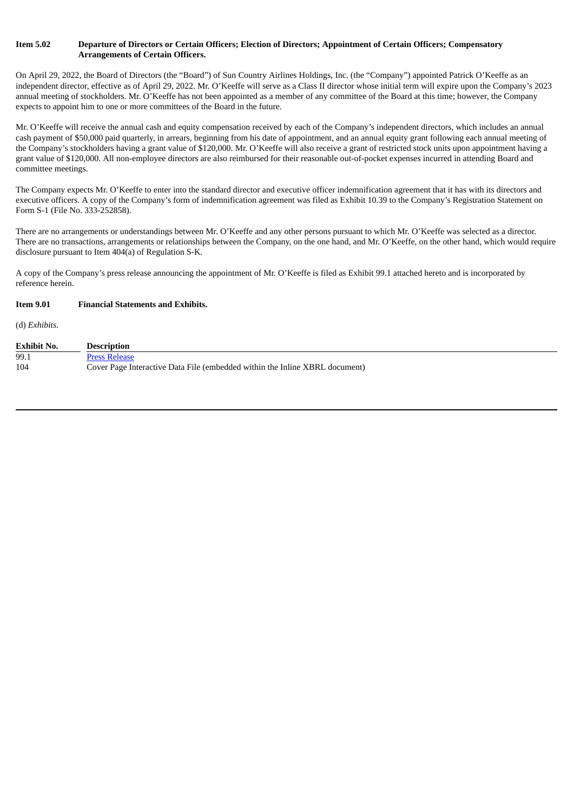## Item 5.02 Departure of Directors or Certain Officers; Election of Directors; Appointment of Certain Officers; Compensatory **Arrangements of Certain Officers.**

On April 29, 2022, the Board of Directors (the "Board") of Sun Country Airlines Holdings, Inc. (the "Company") appointed Patrick O'Keeffe as an independent director, effective as of April 29, 2022. Mr. O'Keeffe will serve as a Class II director whose initial term will expire upon the Company's 2023 annual meeting of stockholders. Mr. O'Keeffe has not been appointed as a member of any committee of the Board at this time; however, the Company expects to appoint him to one or more committees of the Board in the future.

Mr. O'Keeffe will receive the annual cash and equity compensation received by each of the Company's independent directors, which includes an annual cash payment of \$50,000 paid quarterly, in arrears, beginning from his date of appointment, and an annual equity grant following each annual meeting of the Company's stockholders having a grant value of \$120,000. Mr. O'Keeffe will also receive a grant of restricted stock units upon appointment having a grant value of \$120,000. All non-employee directors are also reimbursed for their reasonable out-of-pocket expenses incurred in attending Board and committee meetings.

The Company expects Mr. O'Keeffe to enter into the standard director and executive officer indemnification agreement that it has with its directors and executive officers. A copy of the Company's form of indemnification agreement was filed as Exhibit 10.39 to the Company's Registration Statement on Form S-1 (File No. 333-252858).

There are no arrangements or understandings between Mr. O'Keeffe and any other persons pursuant to which Mr. O'Keeffe was selected as a director. There are no transactions, arrangements or relationships between the Company, on the one hand, and Mr. O'Keeffe, on the other hand, which would require disclosure pursuant to Item 404(a) of Regulation S-K.

A copy of the Company's press release announcing the appointment of Mr. O'Keeffe is filed as Exhibit 99.1 attached hereto and is incorporated by reference herein.

#### **Item 9.01 Financial Statements and Exhibits.**

(d) *Exhibits.*

| <b>Exhibit No.</b> | <b>Description</b>                                                          |
|--------------------|-----------------------------------------------------------------------------|
| 99.1               | <b>Press Release</b>                                                        |
| 104                | Cover Page Interactive Data File (embedded within the Inline XBRL document) |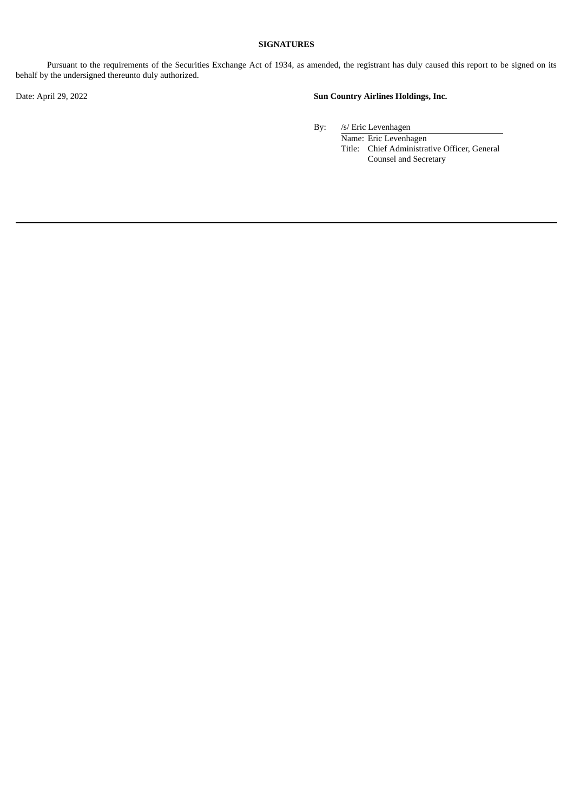## **SIGNATURES**

Pursuant to the requirements of the Securities Exchange Act of 1934, as amended, the registrant has duly caused this report to be signed on its behalf by the undersigned thereunto duly authorized.

# Date: April 29, 2022 **Sun Country Airlines Holdings, Inc.**

By: /s/ Eric Levenhagen

Name: Eric Levenhagen Title: Chief Administrative Officer, General Counsel and Secretary